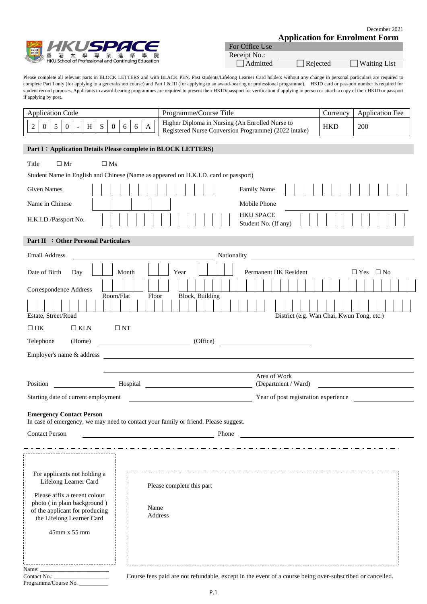

| For Office Use  |                 |                     |
|-----------------|-----------------|---------------------|
| Receipt No.:    |                 |                     |
| $\Box$ Admitted | $\Box$ Rejected | $\Box$ Waiting List |

Please complete all relevant parts in BLOCK LETTERS and with BLACK PEN. Past students/Lifelong Learner Card holders without any change in personal particulars are required to complete Part I only (for applying to a general/short course) and Part I & III (for applying to an award-bearing or professional programme). HKID card or passport number is required for student record purposes. Applicants to award-bearing programmes are required to present their HKID/passport for verification if applying in person or attach a copy of their HKID or passport if applying by post.

| <b>Application Code</b> | Programme/Course Title                                                                                  | urrency. | Application Fee |
|-------------------------|---------------------------------------------------------------------------------------------------------|----------|-----------------|
|                         | Higher Diploma in Nursing (An Enrolled Nurse to<br>Registered Nurse Conversion Programme) (2022 intake) | HKD      | 200             |

# **Part I**:**Application Details Please complete in BLOCK LETTERS)**  $\Gamma$ itle  $\Box Mr$   $\Box Ms$ Student Name in English and Chinese (Name as appeared on H.K.I.D. card or passport) Given Names Fig. | | | | | | | | | | | | | | | | Family Name Name in Chinese **Mobile Phone** HKU SPACE H.K.I.D./Passport No. Student No. (If any) **Part II** :**Other Personal Particulars**  Email Address Nationality Date of Birth Day Month Year Permanent HK Resident Yes No Correspondence Address Room/Flat Floor Block, Building Estate, Street/Road District (e.g. Wan Chai, Kwun Tong, etc.)  $\Box$  HK  $\Box$  KLN  $\Box$  NT Telephone (Home) (Office) Employer's name & address Area of Work Position **Hospital** Hospital (Department / Ward) Starting date of current employment Year of post registration experience **Emergency Contact Person**  In case of emergency, we may need to contact your family or friend. Please suggest. Contact Person Phone . . . . . . . . . . . For applicants not holding a Lifelong Learner Card Please complete this part Please affix a recent colour photo ( in plain background )

45mm x 55 mm

Name Address

the Lifelong Learner Card

of the applicant for producing

Contact No.: \_\_\_\_\_\_\_\_\_\_\_\_\_\_\_\_\_\_\_ Course fees paid are not refundable, except in the event of a course being over-subscribed or cancelled.

Programme/Course No. \_

Name:

 $- - - -$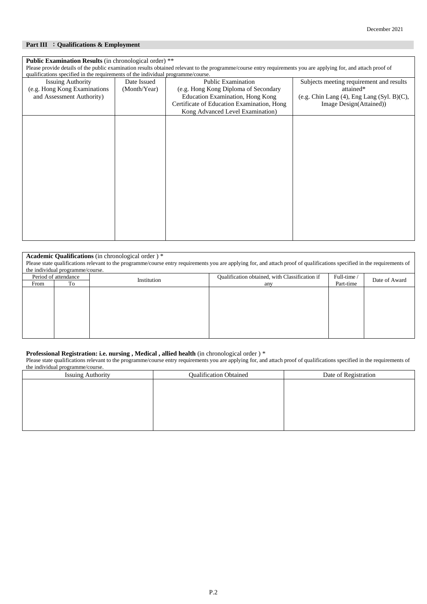# **Part III** :**Qualifications & Employment**

| <b>Public Examination Results</b> (in chronological order) **                                                                                                   |              |                                            |                                                  |  |  |  |
|-----------------------------------------------------------------------------------------------------------------------------------------------------------------|--------------|--------------------------------------------|--------------------------------------------------|--|--|--|
| Please provide details of the public examination results obtained relevant to the programme/course entry requirements you are applying for, and attach proof of |              |                                            |                                                  |  |  |  |
| qualifications specified in the requirements of the individual programme/course.                                                                                |              |                                            |                                                  |  |  |  |
| <b>Issuing Authority</b>                                                                                                                                        | Date Issued  | <b>Public Examination</b>                  | Subjects meeting requirement and results         |  |  |  |
| (e.g. Hong Kong Examinations                                                                                                                                    | (Month/Year) | (e.g. Hong Kong Diploma of Secondary       | attained*                                        |  |  |  |
| and Assessment Authority)                                                                                                                                       |              | Education Examination, Hong Kong           | (e.g. Chin Lang $(4)$ , Eng Lang $(Syl. B)(C)$ , |  |  |  |
|                                                                                                                                                                 |              | Certificate of Education Examination, Hong | Image Design(Attained))                          |  |  |  |
|                                                                                                                                                                 |              | Kong Advanced Level Examination)           |                                                  |  |  |  |
|                                                                                                                                                                 |              |                                            |                                                  |  |  |  |
|                                                                                                                                                                 |              |                                            |                                                  |  |  |  |
|                                                                                                                                                                 |              |                                            |                                                  |  |  |  |
|                                                                                                                                                                 |              |                                            |                                                  |  |  |  |
|                                                                                                                                                                 |              |                                            |                                                  |  |  |  |
|                                                                                                                                                                 |              |                                            |                                                  |  |  |  |
|                                                                                                                                                                 |              |                                            |                                                  |  |  |  |
|                                                                                                                                                                 |              |                                            |                                                  |  |  |  |
|                                                                                                                                                                 |              |                                            |                                                  |  |  |  |
|                                                                                                                                                                 |              |                                            |                                                  |  |  |  |
|                                                                                                                                                                 |              |                                            |                                                  |  |  |  |
|                                                                                                                                                                 |              |                                            |                                                  |  |  |  |
|                                                                                                                                                                 |              |                                            |                                                  |  |  |  |
|                                                                                                                                                                 |              |                                            |                                                  |  |  |  |
|                                                                                                                                                                 |              |                                            |                                                  |  |  |  |
|                                                                                                                                                                 |              |                                            |                                                  |  |  |  |
|                                                                                                                                                                 |              |                                            |                                                  |  |  |  |

#### **Academic Qualifications** (in chronological order ) \*

Please state qualifications relevant to the programme/course entry requirements you are applying for, and attach proof of qualifications specified in the requirements of the individual programme/course.

| From | Period of attendance<br>To | Institution | Qualification obtained, with Classification if<br>any | Full-time /<br>Part-time | Date of Award |
|------|----------------------------|-------------|-------------------------------------------------------|--------------------------|---------------|
|      |                            |             |                                                       |                          |               |
|      |                            |             |                                                       |                          |               |
|      |                            |             |                                                       |                          |               |
|      |                            |             |                                                       |                          |               |
|      |                            |             |                                                       |                          |               |
|      |                            |             |                                                       |                          |               |

## **Professional Registration: i.e. nursing , Medical , allied health** (in chronological order ) \*

Please state qualifications relevant to the programme/course entry requirements you are applying for, and attach proof of qualifications specified in the requirements of the individual programme/course.

| <b>Issuing Authority</b> | <b>Qualification Obtained</b> | Date of Registration |  |  |  |  |
|--------------------------|-------------------------------|----------------------|--|--|--|--|
|                          |                               |                      |  |  |  |  |
|                          |                               |                      |  |  |  |  |
|                          |                               |                      |  |  |  |  |
|                          |                               |                      |  |  |  |  |
|                          |                               |                      |  |  |  |  |
|                          |                               |                      |  |  |  |  |
|                          |                               |                      |  |  |  |  |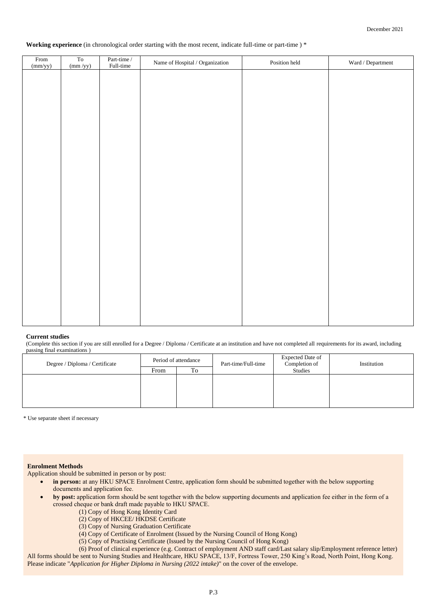#### **Working experience** (in chronological order starting with the most recent, indicate full-time or part-time ) \*

| From<br>(mm/yy) | ${\rm To}$<br>$\frac{\text{(mm /yy)}}{}$ | $\begin{array}{c} \text{Part-time} \, / \\ \text{Full-time} \end{array}$ | Name of Hospital / Organization $\,$ | Position held | $\operatorname{Ward}$ / $\operatorname{Department}$ |
|-----------------|------------------------------------------|--------------------------------------------------------------------------|--------------------------------------|---------------|-----------------------------------------------------|
|                 |                                          |                                                                          |                                      |               |                                                     |
|                 |                                          |                                                                          |                                      |               |                                                     |
|                 |                                          |                                                                          |                                      |               |                                                     |
|                 |                                          |                                                                          |                                      |               |                                                     |
|                 |                                          |                                                                          |                                      |               |                                                     |
|                 |                                          |                                                                          |                                      |               |                                                     |
|                 |                                          |                                                                          |                                      |               |                                                     |
|                 |                                          |                                                                          |                                      |               |                                                     |
|                 |                                          |                                                                          |                                      |               |                                                     |
|                 |                                          |                                                                          |                                      |               |                                                     |
|                 |                                          |                                                                          |                                      |               |                                                     |
|                 |                                          |                                                                          |                                      |               |                                                     |
|                 |                                          |                                                                          |                                      |               |                                                     |
|                 |                                          |                                                                          |                                      |               |                                                     |
|                 |                                          |                                                                          |                                      |               |                                                     |
|                 |                                          |                                                                          |                                      |               |                                                     |
|                 |                                          |                                                                          |                                      |               |                                                     |
|                 |                                          |                                                                          |                                      |               |                                                     |

#### **Current studies**

(Complete this section if you are still enrolled for a Degree / Diploma / Certificate at an institution and have not completed all requirements for its award, including passing final examinations )

| Degree / Diploma / Certificate | Period of attendance |    | Part-time/Full-time | Expected Date of<br>Completion of | Institution |
|--------------------------------|----------------------|----|---------------------|-----------------------------------|-------------|
|                                | From                 | To |                     | Studies                           |             |
|                                |                      |    |                     |                                   |             |
|                                |                      |    |                     |                                   |             |
|                                |                      |    |                     |                                   |             |
|                                |                      |    |                     |                                   |             |

\* Use separate sheet if necessary

#### **Enrolment Methods**

Application should be submitted in person or by post:

- in person: at any HKU SPACE Enrolment Centre, application form should be submitted together with the below supporting documents and application fee.
- **by post:** application form should be sent together with the below supporting documents and application fee either in the form of a crossed cheque or bank draft made payable to HKU SPACE.
	- (1) Copy of Hong Kong Identity Card
	- (2) Copy of HKCEE/ HKDSE Certificate
	- (3) Copy of Nursing Graduation Certificate
	- (4) Copy of Certificate of Enrolment (Issued by the Nursing Council of Hong Kong)
	- (5) Copy of Practising Certificate (Issued by the Nursing Council of Hong Kong)

(6) Proof of clinical experience (e.g. Contract of employment AND staff card/Last salary slip/Employment reference letter) All forms should be sent to Nursing Studies and Healthcare, HKU SPACE, 13/F, Fortress Tower, 250 King's Road, North Point, Hong Kong. Please indicate "*Application for Higher Diploma in Nursing (2022 intake)*" on the cover of the envelope.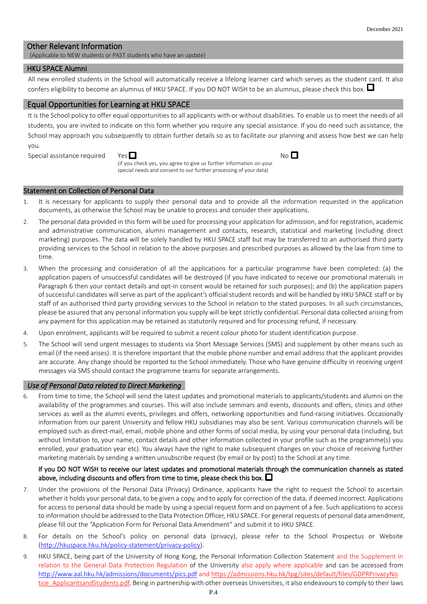# Other Relevant Information

(Applicable to NEW students or PAST students who have an update)

#### HKU SPACE Alumni

All new enrolled students in the School will automatically receive a lifelong learner card which serves as the student card. It also confers eligibility to become an alumnus of HKU SPACE. If you DO NOT WISH to be an alumnus, please check this box.

#### Equal Opportunities for Learning at HKU SPACE

It is the School policy to offer equal opportunities to all applicants with or without disabilities. To enable us to meet the needs of all students, you are invited to indicate on this form whether you require any special assistance. If you do need such assistance, the School may approach you subsequently to obtain further details so as to facilitate our planning and assess how best we can help you.

 $N_O$  $\blacksquare$ 

Special assistance required



(if you check yes, you agree to give us further information on your special needs and consent to our further processing of your data)

#### Statement on Collection of Personal Data

- 1. It is necessary for applicants to supply their personal data and to provide all the information requested in the application documents, as otherwise the School may be unable to process and consider their applications.
- 2. The personal data provided in this form will be used for processing your application for admission, and for registration, academic and administrative communication, alumni management and contacts, research, statistical and marketing (including direct marketing) purposes. The data will be solely handled by HKU SPACE staff but may be transferred to an authorised third party providing services to the School in relation to the above purposes and prescribed purposes as allowed by the law from time to time.
- 3. When the processing and consideration of all the applications for a particular programme have been completed: (a) the application papers of unsuccessful candidates will be destroyed (if you have indicated to receive our promotional materials in Paragraph 6 then your contact details and opt-in consent would be retained for such purposes); and (b) the application papers of successful candidates will serve as part of the applicant's official student records and will be handled by HKU SPACE staff or by staff of an authorised third party providing services to the School in relation to the stated purposes. In all such circumstances, please be assured that any personal information you supply will be kept strictly confidential. Personal data collected arising from any payment for this application may be retained as statutorily required and for processing refund, if necessary.
- 4. Upon enrolment, applicants will be required to submit a recent colour photo for student identification purpose.
- 5. The School will send urgent messages to students via Short Message Services (SMS) and supplement by other means such as email (if the need arises). It is therefore important that the mobile phone number and email address that the applicant provides are accurate. Any change should be reported to the School immediately. Those who have genuine difficulty in receiving urgent messages via SMS should contact the programme teams for separate arrangements.

#### *Use of Personal Data related to Direct Marketing*

From time to time, the School will send the latest updates and promotional materials to applicants/students and alumni on the availability of the programmes and courses. This will also include seminars and events, discounts and offers, clinics and other services as well as the alumni events, privileges and offers, networking opportunities and fund-raising initiatives. Occasionally information from our parent University and fellow HKU subsidiaries may also be sent. Various communication channels will be employed such as direct-mail, email, mobile phone and other forms of social media, by using your personal data (including, but without limitation to, your name, contact details and other information collected in your profile such as the programme(s) you enrolled, your graduation year etc). You always have the right to make subsequent changes on your choice of receiving further marketing materials by sending a written unsubscribe request (by email or by post) to the School at any time.

# If you DO NOT WISH to receive our latest updates and promotional materials through the communication channels as stated above, including discounts and offers from time to time, please check this box.  $\square$

- 7. Under the provisions of the Personal Data (Privacy) Ordinance, applicants have the right to request the School to ascertain whether it holds your personal data, to be given a copy, and to apply for correction of the data, if deemed incorrect. Applications for access to personal data should be made by using a special request form and on payment of a fee. Such applications to access to information should be addressed to the Data Protection Officer, HKU SPACE. For general requests of personal data amendment, please fill out the "Application Form for Personal Data Amendment" and submit it to HKU SPACE.
- 8. For details on the School's policy on personal data (privacy), please refer to the School Prospectus or Website [\(http://hkuspace.hku.hk/policy-statement/privacy-policy\)](http://hkuspace.hku.hk/policy-statement/privacy-policy).
- 9. HKU SPACE, being part of the University of Hong Kong, the Personal Information Collection Statement and the Supplement in relation to the General Data Protection Regulation of the University also apply where applicable and can be accessed from <http://www.aal.hku.hk/admissions/documents/pics.pdf> an[d https://admissions.hku.hk/tpg/sites/default/files/GDPRPrivacyNo](https://admissions.hku.hk/tpg/sites/default/files/GDPRPrivacyNotice_ApplicantsandStudents.pdf) tice ApplicantsandStudents.pdf. Being in partnership with other overseas Universities, it also endeavours to comply to their laws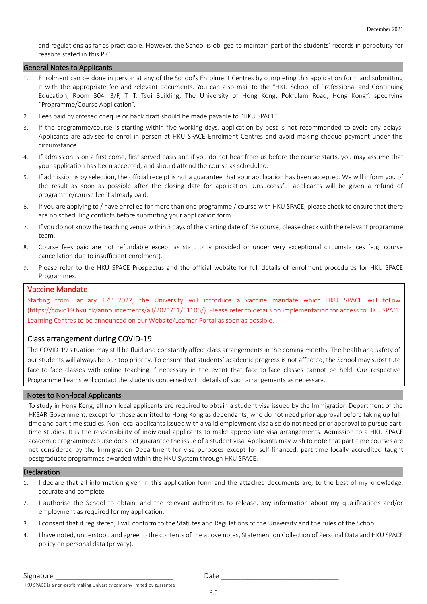and regulations as far as practicable. However, the School is obliged to maintain part of the students' records in perpetuity for reasons stated in this PIC.

#### General Notes to Applicants

- 1. Enrolment can be done in person at any of the School's Enrolment Centres by completing this application form and submitting it with the appropriate fee and relevant documents. You can also mail to the "HKU School of Professional and Continuing Education, Room 304, 3/F, T. T. Tsui Building, The University of Hong Kong, Pokfulam Road, Hong Kong", specifying "Programme/Course Application".
- 2. Fees paid by crossed cheque or bank draft should be made payable to "HKU SPACE".
- 3. If the programme/course is starting within five working days, application by post is not recommended to avoid any delays. Applicants are advised to enrol in person at HKU SPACE Enrolment Centres and avoid making cheque payment under this circumstance.
- 4. If admission is on a first come, first served basis and if you do not hear from us before the course starts, you may assume that your application has been accepted, and should attend the course as scheduled.
- 5. If admission is by selection, the official receipt is not a guarantee that your application has been accepted. We will inform you of the result as soon as possible after the closing date for application. Unsuccessful applicants will be given a refund of programme/course fee if already paid.
- 6. If you are applying to / have enrolled for more than one programme / course with HKU SPACE, please check to ensure that there are no scheduling conflicts before submitting your application form.
- 7. If you do not know the teaching venue within 3 days of the starting date of the course, please check with the relevant programme team.
- 8. Course fees paid are not refundable except as statutorily provided or under very exceptional circumstances (e.g. course cancellation due to insufficient enrolment).
- 9. Please refer to the HKU SPACE Prospectus and the official website for full details of enrolment procedures for HKU SPACE Programmes.

## Vaccine Mandate

Starting from January 17<sup>th</sup> 2022, the University will introduce a vaccine mandate which HKU SPACE will follow [\(https://covid19.hku.hk/announcements/all/2021/11/11105/\)](https://covid19.hku.hk/announcements/all/2021/11/11105/). Please refer to details on implementation for access to HKU SPACE Learning Centres to be announced on our Website/Learner Portal as soon as possible.

#### Class arrangement during COVID-19

The COVID-19 situation may still be fluid and constantly affect class arrangements in the coming months. The health and safety of our students will always be our top priority. To ensure that students' academic progress is not affected, the School may substitute face-to-face classes with online teaching if necessary in the event that face-to-face classes cannot be held. Our respective Programme Teams will contact the students concerned with details of such arrangements as necessary.

#### Notes to Non-local Applicants

To study in Hong Kong, all non-local applicants are required to obtain a student visa issued by the Immigration Department of the HKSAR Government, except for those admitted to Hong Kong as dependants, who do not need prior approval before taking up fulltime and part-time studies. Non-local applicants issued with a valid employment visa also do not need prior approval to pursue parttime studies. It is the responsibility of individual applicants to make appropriate visa arrangements. Admission to a HKU SPACE academic programme/course does not guarantee the issue of a student visa. Applicants may wish to note that part-time courses are not considered by the Immigration Department for visa purposes except for self-financed, part-time locally accredited taught postgraduate programmes awarded within the HKU System through HKU SPACE.

#### **Declaration**

- 1. I declare that all information given in this application form and the attached documents are, to the best of my knowledge, accurate and complete.
- 2. I authorise the School to obtain, and the relevant authorities to release, any information about my qualifications and/or employment as required for my application.
- 3. I consent that if registered, I will conform to the Statutes and Regulations of the University and the rules of the School.
- 4. I have noted, understood and agree to the contents of the above notes, Statement on Collection of Personal Data and HKU SPACE policy on personal data (privacy).